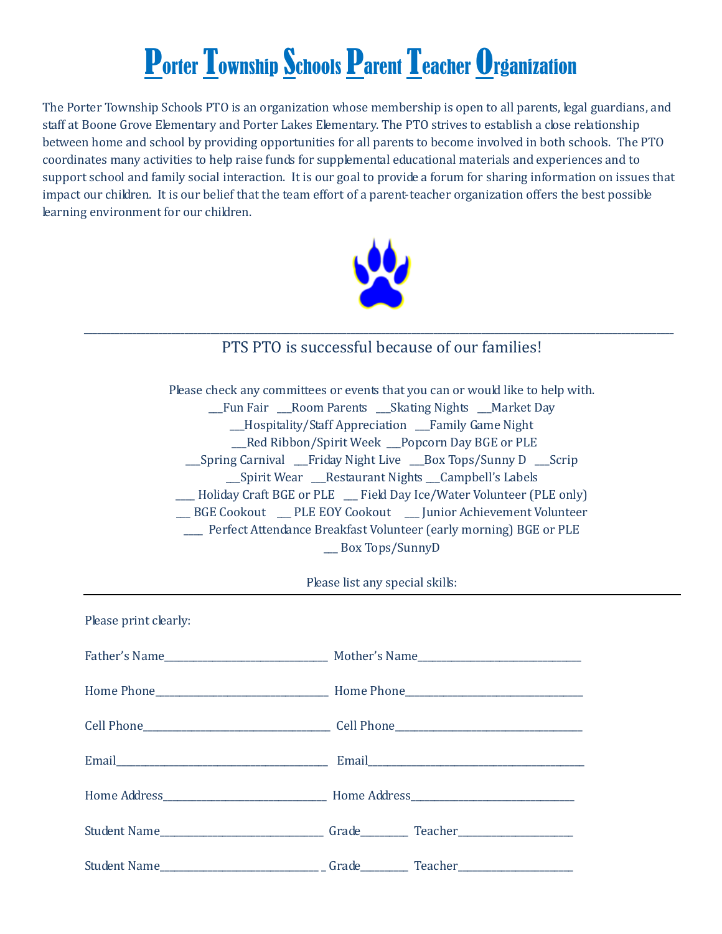## Porter Township Schools Parent Teacher Organization

The Porter Township Schools PTO is an organization whose membership is open to all parents, legal guardians, and staff at Boone Grove Elementary and Porter Lakes Elementary. The PTO strives to establish a close relationship between home and school by providing opportunities for all parents to become involved in both schools. The PTO coordinates many activities to help raise funds for supplemental educational materials and experiences and to support school and family social interaction. It is our goal to provide a forum for sharing information on issues that impact our children. It is our belief that the team effort of a parent-teacher organization offers the best possible learning environment for our children.



## *\_\_\_\_\_\_\_\_\_\_\_\_\_\_\_\_\_\_\_\_\_\_\_\_\_\_\_\_\_\_\_\_\_\_\_\_\_\_\_\_\_\_\_\_\_\_\_\_\_\_\_\_\_\_\_\_\_\_\_\_\_\_\_\_\_\_\_\_\_\_\_\_\_\_\_\_\_\_\_\_\_\_\_\_\_\_\_\_\_\_\_\_\_\_\_\_\_\_\_\_\_\_\_\_\_\_\_\_\_\_\_\_\_\_\_\_\_\_\_\_\_\_\_\_\_\_\_\_\_\_\_\_\_\_\_* PTS PTO is successful because of our families!

Please check any committees or events that you can or would like to help with. \_\_\_Fun Fair \_\_\_Room Parents \_\_\_Skating Nights \_\_\_Market Day \_\_\_Hospitality/Staff Appreciation \_\_\_Family Game Night \_\_\_Red Ribbon/Spirit Week \_\_\_Popcorn Day BGE or PLE \_\_\_Spring Carnival \_\_\_Friday Night Live \_\_\_Box Tops/Sunny D \_\_\_Scrip \_\_\_Spirit Wear \_\_\_Restaurant Nights \_\_\_Campbell's Labels \_\_\_\_ Holiday Craft BGE or PLE \_\_\_ Field Day Ice/Water Volunteer (PLE only) \_\_\_ BGE Cookout \_\_\_ PLE EOY Cookout \_\_\_ Junior Achievement Volunteer \_\_\_\_ Perfect Attendance Breakfast Volunteer (early morning) BGE or PLE \_\_\_ Box Tops/SunnyD

Please list any special skills:

| Please print clearly: |  |
|-----------------------|--|
|                       |  |
|                       |  |
|                       |  |
|                       |  |
|                       |  |
|                       |  |
|                       |  |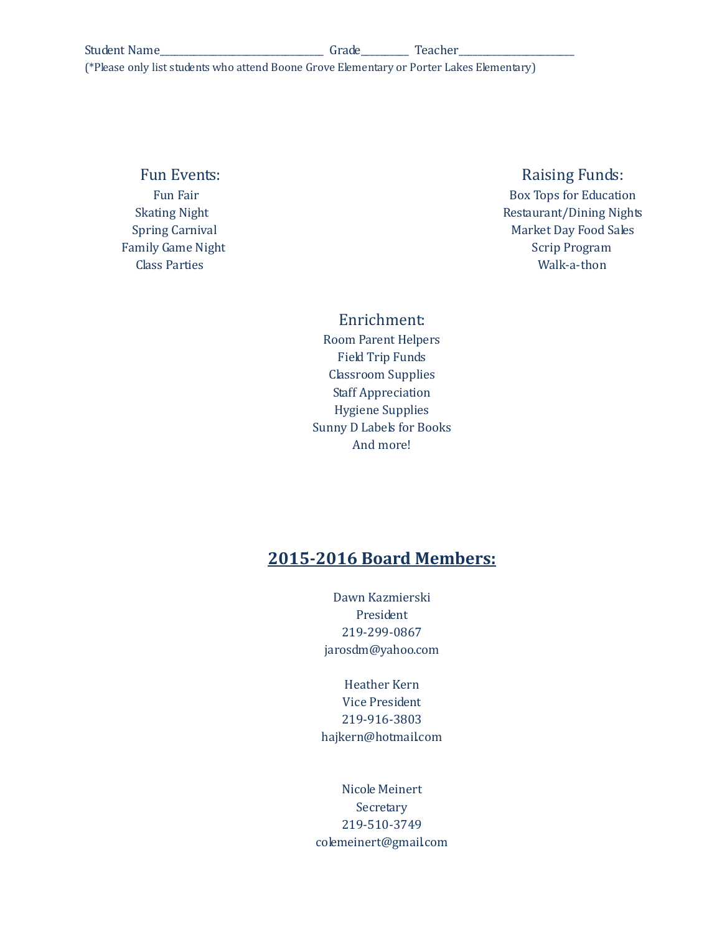(\*Please only list students who attend Boone Grove Elementary or Porter Lakes Elementary)

## Fun Events: **Raising Funds:** Raising Funds:

Fun Fair **Box Tops for Education** Skating Night **Restaurant/Dining Nights** Restaurant/Dining Nights Spring Carnival **Market Day Food Sales** Family Game Night Scrip Program Class Parties Walk-a-thon

Enrichment:

Room Parent Helpers Field Trip Funds Classroom Supplies Staff Appreciation Hygiene Supplies Sunny D Labels for Books And more!

## **2015-2016 Board Members:**

Dawn Kazmierski President 219-299-0867 jarosdm@yahoo.com

Heather Kern Vice President 219-916-3803 hajkern@hotmail.com

Nicole Meinert Secretary 219-510-3749 colemeinert@gmail.com